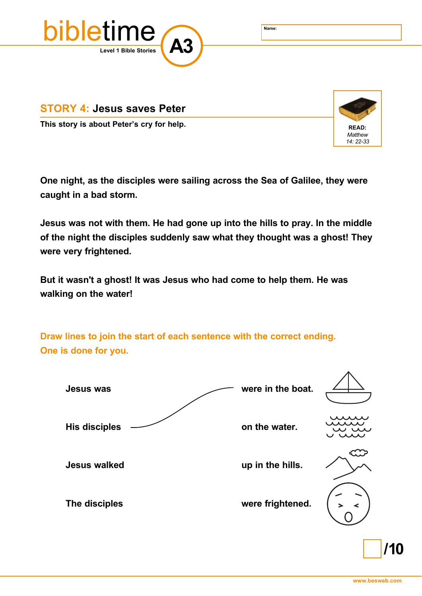

**STORY 4: Jesus saves Peter**

**This story is about Peter's cry for help. READ: READ: READ: READ:** 



**One night, as the disciples were sailing across the Sea of Galilee, they were caught in a bad storm.** 

**Jesus was not with them. He had gone up into the hills to pray. In the middle of the night the disciples suddenly saw what they thought was a ghost! They were very frightened.**

**But it wasn't a ghost! It was Jesus who had come to help them. He was walking on the water!**

**Draw lines to join the start of each sentence with the correct ending. One is done for you.**



**/10**